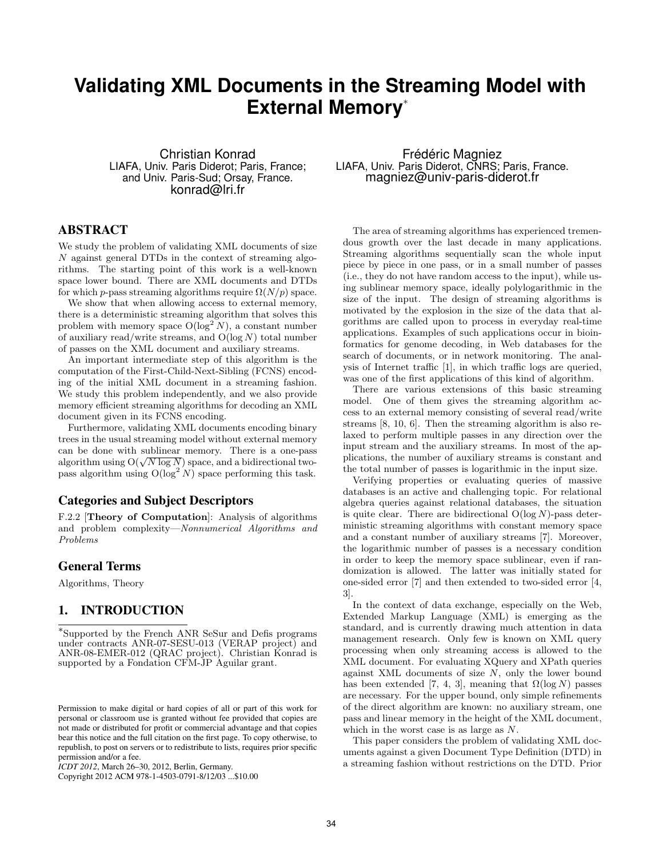# **Validating XML Documents in the Streaming Model with External Memory**<sup>∗</sup>

Christian Konrad LIAFA, Univ. Paris Diderot; Paris, France; and Univ. Paris-Sud; Orsay, France. konrad@lri.fr

# ABSTRACT

We study the problem of validating XML documents of size N against general DTDs in the context of streaming algorithms. The starting point of this work is a well-known space lower bound. There are XML documents and DTDs for which p-pass streaming algorithms require  $\Omega(N/p)$  space.

We show that when allowing access to external memory, there is a deterministic streaming algorithm that solves this problem with memory space  $O(log^2 N)$ , a constant number of auxiliary read/write streams, and  $O(\log N)$  total number of passes on the XML document and auxiliary streams.

An important intermediate step of this algorithm is the computation of the First-Child-Next-Sibling (FCNS) encoding of the initial XML document in a streaming fashion. We study this problem independently, and we also provide memory efficient streaming algorithms for decoding an XML document given in its FCNS encoding.

Furthermore, validating XML documents encoding binary trees in the usual streaming model without external memory can be done with sublinear memory. There is a one-pass can be done with sublinear memory. There is a one-pass<br>algorithm using  $O(\sqrt{N \log N})$  space, and a bidirectional twopass algorithm using  $O(log<sup>2</sup> N)$  space performing this task.

### Categories and Subject Descriptors

F.2.2 [Theory of Computation]: Analysis of algorithms and problem complexity—Nonnumerical Algorithms and Problems

# General Terms

Algorithms, Theory

# 1. INTRODUCTION

∗ Supported by the French ANR SeSur and Defis programs under contracts ANR-07-SESU-013 (VERAP project) and ANR-08-EMER-012 (QRAC project). Christian Konrad is supported by a Fondation CFM-JP Aguilar grant.

Copyright 2012 ACM 978-1-4503-0791-8/12/03 ...\$10.00

Frédéric Magniez LIAFA, Univ. Paris Diderot, CNRS; Paris, France. magniez@univ-paris-diderot.fr

The area of streaming algorithms has experienced tremendous growth over the last decade in many applications. Streaming algorithms sequentially scan the whole input piece by piece in one pass, or in a small number of passes (i.e., they do not have random access to the input), while using sublinear memory space, ideally polylogarithmic in the size of the input. The design of streaming algorithms is motivated by the explosion in the size of the data that algorithms are called upon to process in everyday real-time applications. Examples of such applications occur in bioinformatics for genome decoding, in Web databases for the search of documents, or in network monitoring. The analysis of Internet traffic [1], in which traffic logs are queried, was one of the first applications of this kind of algorithm.

There are various extensions of this basic streaming model. One of them gives the streaming algorithm access to an external memory consisting of several read/write streams [8, 10, 6]. Then the streaming algorithm is also relaxed to perform multiple passes in any direction over the input stream and the auxiliary streams. In most of the applications, the number of auxiliary streams is constant and the total number of passes is logarithmic in the input size.

Verifying properties or evaluating queries of massive databases is an active and challenging topic. For relational algebra queries against relational databases, the situation is quite clear. There are bidirectional  $O(\log N)$ -pass deterministic streaming algorithms with constant memory space and a constant number of auxiliary streams [7]. Moreover, the logarithmic number of passes is a necessary condition in order to keep the memory space sublinear, even if randomization is allowed. The latter was initially stated for one-sided error [7] and then extended to two-sided error [4, 3].

In the context of data exchange, especially on the Web, Extended Markup Language (XML) is emerging as the standard, and is currently drawing much attention in data management research. Only few is known on XML query processing when only streaming access is allowed to the XML document. For evaluating XQuery and XPath queries against XML documents of size  $N$ , only the lower bound has been extended [7, 4, 3], meaning that  $\Omega(\log N)$  passes are necessary. For the upper bound, only simple refinements of the direct algorithm are known: no auxiliary stream, one pass and linear memory in the height of the XML document, which in the worst case is as large as N.

This paper considers the problem of validating XML documents against a given Document Type Definition (DTD) in a streaming fashion without restrictions on the DTD. Prior

Permission to make digital or hard copies of all or part of this work for personal or classroom use is granted without fee provided that copies are not made or distributed for profit or commercial advantage and that copies bear this notice and the full citation on the first page. To copy otherwise, to republish, to post on servers or to redistribute to lists, requires prior specific permission and/or a fee.

*ICDT 2012*, March 26–30, 2012, Berlin, Germany.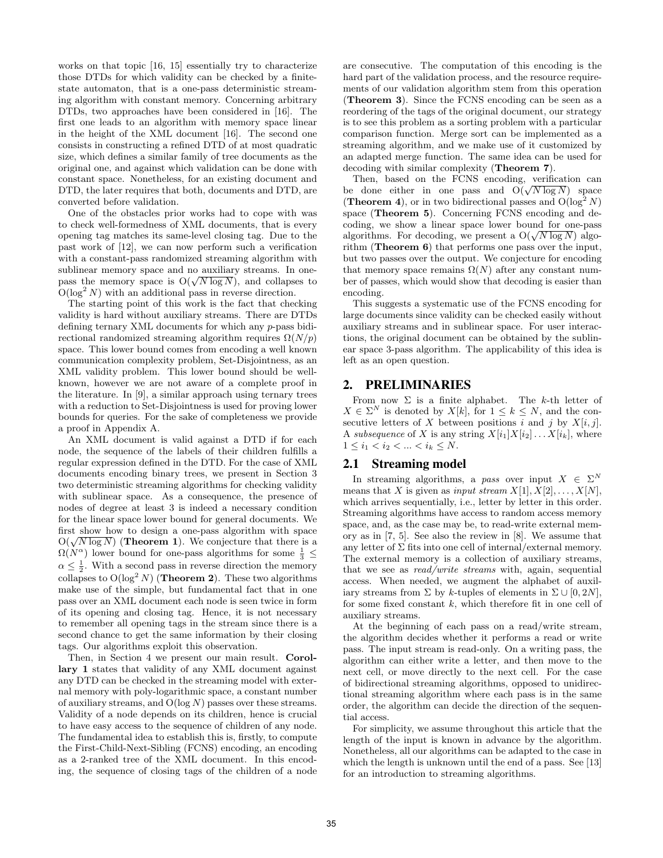works on that topic [16, 15] essentially try to characterize those DTDs for which validity can be checked by a finitestate automaton, that is a one-pass deterministic streaming algorithm with constant memory. Concerning arbitrary DTDs, two approaches have been considered in [16]. The first one leads to an algorithm with memory space linear in the height of the XML document [16]. The second one consists in constructing a refined DTD of at most quadratic size, which defines a similar family of tree documents as the original one, and against which validation can be done with constant space. Nonetheless, for an existing document and DTD, the later requires that both, documents and DTD, are converted before validation.

One of the obstacles prior works had to cope with was to check well-formedness of XML documents, that is every opening tag matches its same-level closing tag. Due to the past work of [12], we can now perform such a verification with a constant-pass randomized streaming algorithm with sublinear memory space and no auxiliary streams. In onesublinear memory space and no auxiliary streams. In one-<br>pass the memory space is  $O(\sqrt{N \log N})$ , and collapses to  $O(\log^2 N)$  with an additional pass in reverse direction.

The starting point of this work is the fact that checking validity is hard without auxiliary streams. There are DTDs defining ternary XML documents for which any p-pass bidirectional randomized streaming algorithm requires  $\Omega(N/p)$ space. This lower bound comes from encoding a well known communication complexity problem, Set-Disjointness, as an XML validity problem. This lower bound should be wellknown, however we are not aware of a complete proof in the literature. In [9], a similar approach using ternary trees with a reduction to Set-Disjointness is used for proving lower bounds for queries. For the sake of completeness we provide a proof in Appendix A.

An XML document is valid against a DTD if for each node, the sequence of the labels of their children fulfills a regular expression defined in the DTD. For the case of XML documents encoding binary trees, we present in Section 3 two deterministic streaming algorithms for checking validity with sublinear space. As a consequence, the presence of nodes of degree at least 3 is indeed a necessary condition for the linear space lower bound for general documents. We first show how to design a one-pass algorithm with space first show how to design a one-pass algorithm with space  $O(\sqrt{N \log N})$  (**Theorem 1**). We conjecture that there is a  $\Omega(N^{\alpha})$  lower bound for one-pass algorithms for some  $\frac{1}{3} \leq$  $\alpha \leq \frac{1}{2}$ . With a second pass in reverse direction the memory collapses to  $O(\log^2 N)$  (**Theorem 2**). These two algorithms make use of the simple, but fundamental fact that in one pass over an XML document each node is seen twice in form of its opening and closing tag. Hence, it is not necessary to remember all opening tags in the stream since there is a second chance to get the same information by their closing tags. Our algorithms exploit this observation.

Then, in Section 4 we present our main result. Corollary 1 states that validity of any XML document against any DTD can be checked in the streaming model with external memory with poly-logarithmic space, a constant number of auxiliary streams, and  $O(\log N)$  passes over these streams. Validity of a node depends on its children, hence is crucial to have easy access to the sequence of children of any node. The fundamental idea to establish this is, firstly, to compute the First-Child-Next-Sibling (FCNS) encoding, an encoding as a 2-ranked tree of the XML document. In this encoding, the sequence of closing tags of the children of a node

are consecutive. The computation of this encoding is the hard part of the validation process, and the resource requirements of our validation algorithm stem from this operation (Theorem 3). Since the FCNS encoding can be seen as a reordering of the tags of the original document, our strategy is to see this problem as a sorting problem with a particular comparison function. Merge sort can be implemented as a streaming algorithm, and we make use of it customized by an adapted merge function. The same idea can be used for decoding with similar complexity (Theorem 7).

Then, based on the FCNS encoding, verification can Then, based on the FCNS encoding, vertication can<br>be done either in one pass and  $O(\sqrt{N \log N})$  space (**Theorem 4**), or in two bidirectional passes and  $O(\log^2 N)$ space (Theorem 5). Concerning FCNS encoding and decoding, we show a linear space lower bound for one-pass coding, we show a linear space lower bound for one-pass<br>algorithms. For decoding, we present a  $O(\sqrt{N \log N})$  algorithm (Theorem 6) that performs one pass over the input, but two passes over the output. We conjecture for encoding that memory space remains  $\Omega(N)$  after any constant number of passes, which would show that decoding is easier than encoding.

This suggests a systematic use of the FCNS encoding for large documents since validity can be checked easily without auxiliary streams and in sublinear space. For user interactions, the original document can be obtained by the sublinear space 3-pass algorithm. The applicability of this idea is left as an open question.

# 2. PRELIMINARIES

From now  $\Sigma$  is a finite alphabet. The k-th letter of  $X \in \Sigma^N$  is denoted by  $X[k]$ , for  $1 \leq k \leq N$ , and the consecutive letters of X between positions  $\overline{i}$  and j by  $X[i, j]$ . A subsequence of X is any string  $X[i_1]X[i_2] \ldots X[i_k]$ , where  $1 \leq i_1 < i_2 < \ldots < i_k \leq N$ .

## 2.1 Streaming model

In streaming algorithms, a pass over input  $X \in \Sigma^N$ means that X is given as input stream  $X[1], X[2], \ldots, X[N]$ , which arrives sequentially, i.e., letter by letter in this order. Streaming algorithms have access to random access memory space, and, as the case may be, to read-write external memory as in [7, 5]. See also the review in [8]. We assume that any letter of  $\Sigma$  fits into one cell of internal/external memory. The external memory is a collection of auxiliary streams, that we see as read/write streams with, again, sequential access. When needed, we augment the alphabet of auxiliary streams from  $\Sigma$  by k-tuples of elements in  $\Sigma \cup [0, 2N]$ . for some fixed constant  $k$ , which therefore fit in one cell of auxiliary streams.

At the beginning of each pass on a read/write stream, the algorithm decides whether it performs a read or write pass. The input stream is read-only. On a writing pass, the algorithm can either write a letter, and then move to the next cell, or move directly to the next cell. For the case of bidirectional streaming algorithms, opposed to unidirectional streaming algorithm where each pass is in the same order, the algorithm can decide the direction of the sequential access.

For simplicity, we assume throughout this article that the length of the input is known in advance by the algorithm. Nonetheless, all our algorithms can be adapted to the case in which the length is unknown until the end of a pass. See [13] for an introduction to streaming algorithms.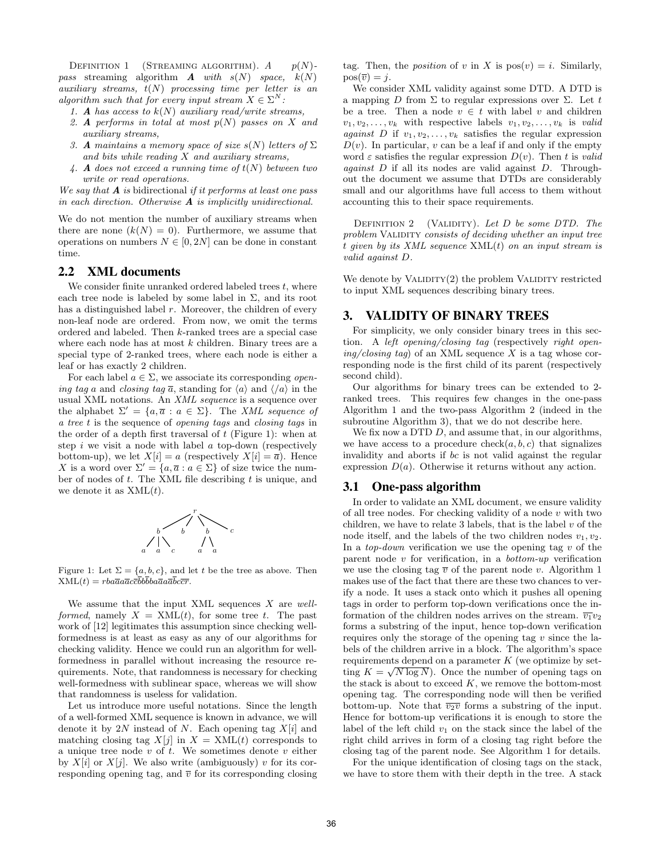DEFINITION 1 (STREAMING ALGORITHM).  $A$   $p(N)$ pass streaming algorithm  $\bm{A}$  with  $s(N)$  space,  $k(N)$ auxiliary streams,  $t(N)$  processing time per letter is an algorithm such that for every input stream  $X \in \Sigma^N$ :

- 1. A has access to  $k(N)$  auxiliary read/write streams,
- 2. A performs in total at most  $p(N)$  passes on X and auxiliary streams,
- 3. A maintains a memory space of size  $s(N)$  letters of  $\Sigma$ and bits while reading  $X$  and auxiliary streams,
- 4. A does not exceed a running time of  $t(N)$  between two write or read operations.

We say that  $A$  is bidirectional if it performs at least one pass in each direction. Otherwise  $A$  is implicitly unidirectional.

We do not mention the number of auxiliary streams when there are none  $(k(N) = 0)$ . Furthermore, we assume that operations on numbers  $N \in [0, 2N]$  can be done in constant time.

### 2.2 XML documents

We consider finite unranked ordered labeled trees  $t$ , where each tree node is labeled by some label in  $\Sigma$ , and its root has a distinguished label  $r$ . Moreover, the children of every non-leaf node are ordered. From now, we omit the terms ordered and labeled. Then k-ranked trees are a special case where each node has at most  $k$  children. Binary trees are a special type of 2-ranked trees, where each node is either a leaf or has exactly 2 children.

For each label  $a \in \Sigma$ , we associate its corresponding *open*ing tag a and closing tag  $\bar{a}$ , standing for  $\langle a \rangle$  and  $\langle \bar{a} \rangle$  in the usual XML notations. An XML sequence is a sequence over the alphabet  $\Sigma' = \{a, \overline{a} : a \in \Sigma\}$ . The XML sequence of a tree t is the sequence of opening tags and closing tags in the order of a depth first traversal of  $t$  (Figure 1): when at step  $i$  we visit a node with label  $a$  top-down (respectively bottom-up), we let  $X[i] = a$  (respectively  $X[i] = \overline{a}$ ). Hence X is a word over  $\Sigma' = \{a, \overline{a} : a \in \Sigma\}$  of size twice the number of nodes of  $t$ . The XML file describing  $t$  is unique, and we denote it as  $XML(t)$ .



Figure 1: Let  $\Sigma = \{a, b, c\}$ , and let t be the tree as above. Then  $XML(t) = rba\overline{a}a\overline{a}c\overline{c}b\overline{b}ba\overline{a}a\overline{a}\overline{b}c\overline{c}\overline{r}.$ 

We assume that the input XML sequences  $X$  are wellformed, namely  $X = \text{XML}(t)$ , for some tree t. The past work of [12] legitimates this assumption since checking wellformedness is at least as easy as any of our algorithms for checking validity. Hence we could run an algorithm for wellformedness in parallel without increasing the resource requirements. Note, that randomness is necessary for checking well-formedness with sublinear space, whereas we will show that randomness is useless for validation.

Let us introduce more useful notations. Since the length of a well-formed XML sequence is known in advance, we will denote it by 2N instead of N. Each opening tag  $X[i]$  and matching closing tag  $X[j]$  in  $X = \text{XML}(t)$  corresponds to a unique tree node  $v$  of  $t$ . We sometimes denote  $v$  either by  $X[i]$  or  $X[j]$ . We also write (ambiguously) v for its corresponding opening tag, and  $\bar{v}$  for its corresponding closing tag. Then, the *position* of v in X is  $pos(v) = i$ . Similarly,  $pos(\overline{v}) = j.$ 

We consider XML validity against some DTD. A DTD is a mapping D from  $\Sigma$  to regular expressions over  $\Sigma$ . Let t be a tree. Then a node  $v \in t$  with label v and children  $v_1, v_2, \ldots, v_k$  with respective labels  $v_1, v_2, \ldots, v_k$  is valid against D if  $v_1, v_2, \ldots, v_k$  satisfies the regular expression  $D(v)$ . In particular, v can be a leaf if and only if the empty word  $\varepsilon$  satisfies the regular expression  $D(v)$ . Then t is valid *against*  $D$  if all its nodes are valid against  $D$ . Throughout the document we assume that DTDs are considerably small and our algorithms have full access to them without accounting this to their space requirements.

DEFINITION 2 (VALIDITY). Let  $D$  be some DTD. The problem VALIDITY consists of deciding whether an input tree t given by its XML sequence  $XML(t)$  on an input stream is valid against D.

We denote by  $V$ ALIDITY $(2)$  the problem VALIDITY restricted to input XML sequences describing binary trees.

# 3. VALIDITY OF BINARY TREES

For simplicity, we only consider binary trees in this section. A left opening/closing tag (respectively right open $ing/closing tag)$  of an XML sequence X is a tag whose corresponding node is the first child of its parent (respectively second child).

Our algorithms for binary trees can be extended to 2 ranked trees. This requires few changes in the one-pass Algorithm 1 and the two-pass Algorithm 2 (indeed in the subroutine Algorithm 3), that we do not describe here.

We fix now a DTD D, and assume that, in our algorithms, we have access to a procedure check $(a, b, c)$  that signalizes invalidity and aborts if bc is not valid against the regular expression  $D(a)$ . Otherwise it returns without any action.

#### 3.1 One-pass algorithm

In order to validate an XML document, we ensure validity of all tree nodes. For checking validity of a node  $v$  with two children, we have to relate 3 labels, that is the label  $v$  of the node itself, and the labels of the two children nodes  $v_1, v_2$ . In a *top-down* verification we use the opening tag  $v$  of the parent node  $v$  for verification, in a *bottom-up* verification we use the closing tag  $\overline{v}$  of the parent node v. Algorithm 1 makes use of the fact that there are these two chances to verify a node. It uses a stack onto which it pushes all opening tags in order to perform top-down verifications once the information of the children nodes arrives on the stream.  $\overline{v_1}v_2$ forms a substring of the input, hence top-down verification requires only the storage of the opening tag  $v$  since the labels of the children arrive in a block. The algorithm's space requirements depend on a parameter  $K$  (we optimize by setting  $K = \sqrt{N \log N}$ . Once the number of opening tags on the stack is about to exceed  $K$ , we remove the bottom-most opening tag. The corresponding node will then be verified bottom-up. Note that  $\overline{v_2v}$  forms a substring of the input. Hence for bottom-up verifications it is enough to store the label of the left child  $v_1$  on the stack since the label of the right child arrives in form of a closing tag right before the closing tag of the parent node. See Algorithm 1 for details.

For the unique identification of closing tags on the stack, we have to store them with their depth in the tree. A stack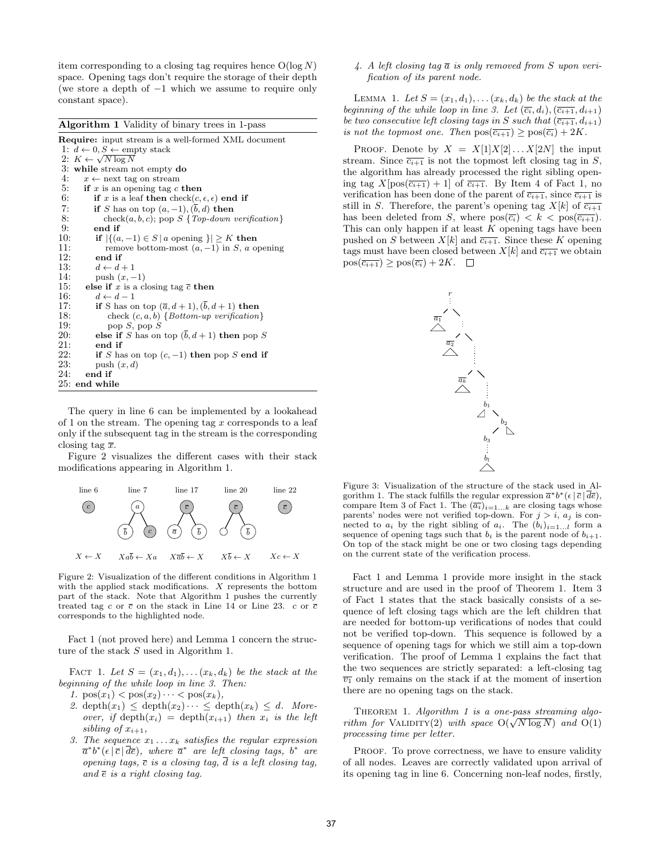item corresponding to a closing tag requires hence  $O(\log N)$ space. Opening tags don't require the storage of their depth (we store a depth of  $-1$  which we assume to require only constant space).

| <b>Algorithm 1</b> Validity of binary trees in 1-pass                  |  |  |  |  |  |
|------------------------------------------------------------------------|--|--|--|--|--|
| <b>Require:</b> input stream is a well-formed XML document             |  |  |  |  |  |
| 1: $d \leftarrow 0, S \leftarrow \text{empty stack}$                   |  |  |  |  |  |
| 2: $K \leftarrow \sqrt{N} \log N$                                      |  |  |  |  |  |
| 3: while stream not empty do                                           |  |  |  |  |  |
| 4:<br>$x \leftarrow$ next tag on stream                                |  |  |  |  |  |
| 5:<br>if x is an opening tag c then                                    |  |  |  |  |  |
| 6:<br>if x is a leaf then check $(c, \epsilon, \epsilon)$ end if       |  |  |  |  |  |
| 7:<br>if S has on top $(a, -1)$ , $(b, d)$ then                        |  |  |  |  |  |
| 8:<br>$check(a, b, c)$ ; pop $S \{Top-down\ verification\}$            |  |  |  |  |  |
| 9:<br>end if                                                           |  |  |  |  |  |
| 10:<br>if $ \{(a,-1) \in S \mid a \text{ opening }\}  \geq K$ then     |  |  |  |  |  |
| 11:<br>remove bottom-most $(a, -1)$ in S, a opening                    |  |  |  |  |  |
| 12:<br>end if                                                          |  |  |  |  |  |
| 13:<br>$d \leftarrow d+1$                                              |  |  |  |  |  |
| 14:<br>push $(x,-1)$                                                   |  |  |  |  |  |
| 15:<br>else if x is a closing tag $\bar{c}$ then                       |  |  |  |  |  |
| 16:<br>$d \leftarrow d-1$                                              |  |  |  |  |  |
| if S has on top $(\overline{a}, d+1), (\overline{b}, d+1)$ then<br>17: |  |  |  |  |  |
| 18:<br>check $(c, a, b)$ { <i>Bottom-up verification</i> }             |  |  |  |  |  |
| 19:<br>pop $S$ , pop $S$                                               |  |  |  |  |  |
| 20:<br>else if S has on top $(b, d + 1)$ then pop S                    |  |  |  |  |  |
| 21:<br>end if                                                          |  |  |  |  |  |
| 22:<br>if S has on top $(c, -1)$ then pop S end if                     |  |  |  |  |  |
| 23:<br>push $(x, d)$                                                   |  |  |  |  |  |
| 24:<br>end if                                                          |  |  |  |  |  |
| 25: end while                                                          |  |  |  |  |  |

The query in line 6 can be implemented by a lookahead of 1 on the stream. The opening tag  $x$  corresponds to a leaf only if the subsequent tag in the stream is the corresponding closing tag  $\bar{x}$ .

Figure 2 visualizes the different cases with their stack modifications appearing in Algorithm 1.



Figure 2: Visualization of the different conditions in Algorithm 1 with the applied stack modifications. X represents the bottom part of the stack. Note that Algorithm 1 pushes the currently treated tag c or  $\bar{c}$  on the stack in Line 14 or Line 23. c or  $\bar{c}$ corresponds to the highlighted node.

Fact 1 (not proved here) and Lemma 1 concern the structure of the stack S used in Algorithm 1.

FACT 1. Let  $S = (x_1, d_1), \ldots (x_k, d_k)$  be the stack at the beginning of the while loop in line 3. Then:

- 1.  $pos(x_1) < pos(x_2) \cdots < pos(x_k)$ ,
- 2. depth $(x_1) \leq$  depth $(x_2) \cdots \leq$  depth $(x_k) \leq d$ . Moreover, if depth $(x_i) = \text{depth}(x_{i+1})$  then  $x_i$  is the left sibling of  $x_{i+1}$ ,
- 3. The sequence  $x_1 \ldots x_k$  satisfies the regular expression  $\overline{a}^*b^*(\epsilon|\overline{c}|\overline{d}\overline{e}),$  where  $\overline{a}^*$  are left closing tags,  $b^*$  are opening tags,  $\bar{c}$  is a closing tag,  $\bar{d}$  is a left closing tag, and  $\overline{e}$  is a right closing tag.

4. A left closing tag  $\overline{a}$  is only removed from S upon verification of its parent node.

LEMMA 1. Let  $S = (x_1, d_1), \ldots (x_k, d_k)$  be the stack at the beginning of the while loop in line 3. Let  $(\overline{c_i}, d_i), (\overline{c_{i+1}}, d_{i+1})$ be two consecutive left closing tags in S such that  $(\overline{c_{i+1}}, d_{i+1})$ is not the topmost one. Then  $pos(\overline{c_{i+1}}) \geq pos(\overline{c_i}) + 2K$ .

PROOF. Denote by  $X = X[1]X[2] \ldots X[2N]$  the input stream. Since  $\overline{c_{i+1}}$  is not the topmost left closing tag in S, the algorithm has already processed the right sibling opening tag  $X[pos(\overline{c_{i+1}}) + 1]$  of  $\overline{c_{i+1}}$ . By Item 4 of Fact 1, no verification has been done of the parent of  $\overline{c_{i+1}}$ , since  $\overline{c_{i+1}}$  is still in S. Therefore, the parent's opening tag  $X[k]$  of  $\overline{c_{i+1}}$ has been deleted from S, where  $pos(\overline{c_i}) < k < pos(\overline{c_{i+1}})$ . This can only happen if at least  $K$  opening tags have been pushed on S between  $X[k]$  and  $\overline{c_{i+1}}$ . Since these K opening tags must have been closed between  $X[k]$  and  $\overline{c_{i+1}}$  we obtain  $pos(\overline{c_{i+1}}) \geq pos(\overline{c_i}) + 2K. \quad \Box$ 



Figure 3: Visualization of the structure of the stack used in Algorithm 1. The stack fulfills the regular expression  $\bar{a}^*b^*(\epsilon|\bar{c}|\bar{d}\bar{e})$ , compare Item 3 of Fact 1. The  $(\overline{a_i})_{i=1...k}$  are closing tags whose parents' nodes were not verified top-down. For  $j > i$ ,  $a_j$  is connected to  $a_i$  by the right sibling of  $a_i$ . The  $(b_i)_{i=1...l}$  form a sequence of opening tags such that  $b_i$  is the parent node of  $b_{i+1}$ . On top of the stack might be one or two closing tags depending on the current state of the verification process.

Fact 1 and Lemma 1 provide more insight in the stack structure and are used in the proof of Theorem 1. Item 3 of Fact 1 states that the stack basically consists of a sequence of left closing tags which are the left children that are needed for bottom-up verifications of nodes that could not be verified top-down. This sequence is followed by a sequence of opening tags for which we still aim a top-down verification. The proof of Lemma 1 explains the fact that the two sequences are strictly separated: a left-closing tag  $\overline{v_1}$  only remains on the stack if at the moment of insertion there are no opening tags on the stack.

THEOREM 1. Algorithm 1 is a one-pass streaming algo-THEOREM 1. Algorithm 1 is a one-pass streaming algorithm for VALIDITY(2) with space  $O(\sqrt{N \log N})$  and  $O(1)$ processing time per letter.

PROOF. To prove correctness, we have to ensure validity of all nodes. Leaves are correctly validated upon arrival of its opening tag in line 6. Concerning non-leaf nodes, firstly,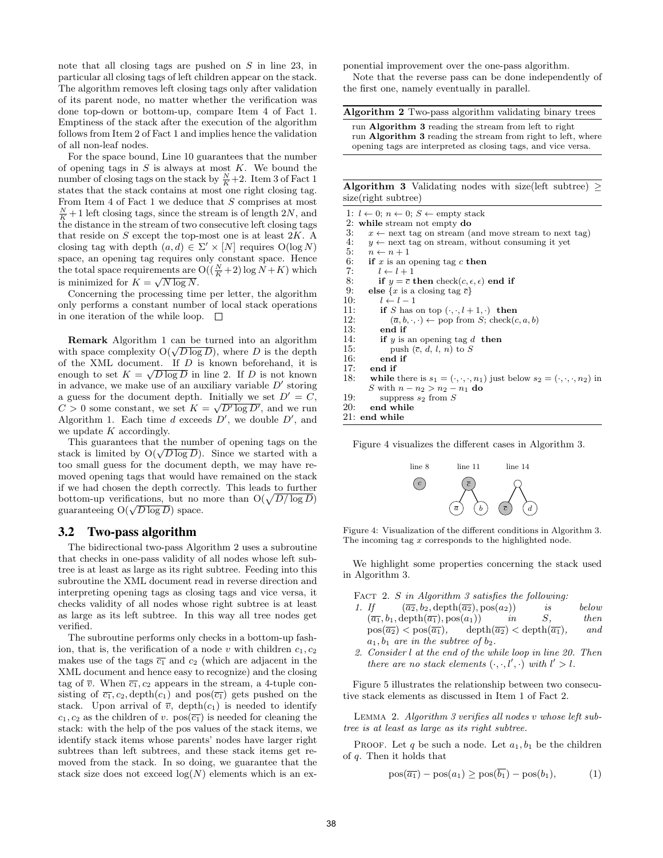note that all closing tags are pushed on S in line 23, in particular all closing tags of left children appear on the stack. The algorithm removes left closing tags only after validation of its parent node, no matter whether the verification was done top-down or bottom-up, compare Item 4 of Fact 1. Emptiness of the stack after the execution of the algorithm follows from Item 2 of Fact 1 and implies hence the validation of all non-leaf nodes.

For the space bound, Line 10 guarantees that the number of opening tags in  $S$  is always at most  $K$ . We bound the number of closing tags on the stack by  $\frac{N}{K}+2$ . Item 3 of Fact 1 states that the stack contains at most one right closing tag. From Item 4 of Fact 1 we deduce that  $S$  comprises at most  $\frac{N}{K}+1$  left closing tags, since the stream is of length 2N, and the distance in the stream of two consecutive left closing tags that reside on  $S$  except the top-most one is at least  $2K$ . A closing tag with depth  $(a, d) \in \Sigma' \times [N]$  requires  $O(\log N)$ space, an opening tag requires only constant space. Hence the total space requirements are  $O((\frac{N}{K}+2)\log N + K)$  which is minimized for  $K = \sqrt{N \log N}$ .

Concerning the processing time per letter, the algorithm only performs a constant number of local stack operations in one iteration of the while loop.  $\square$ 

Remark Algorithm 1 can be turned into an algorithm **REMARK** Algorithm 1 can be turned into an algorithm<br>with space complexity  $O(\sqrt{D \log D})$ , where D is the depth of the XML document. If  $D$  is known beforehand, it is enough to set  $K = \sqrt{D \log D}$  in line 2. If D is not known in advance, we make use of an auxiliary variable  $D'$  storing a guess for the document depth. Initially we set  $D' = C$ ,  $C > 0$  some constant, we set  $K = \sqrt{D' \log D'}$ , and we run Algorithm 1. Each time  $d$  exceeds  $D'$ , we double  $D'$ , and we update  $K$  accordingly.

This guarantees that the number of opening tags on the This guarantees that the number of opening tags on the stack is limited by  $O(\sqrt{D \log D})$ . Since we started with a too small guess for the document depth, we may have removed opening tags that would have remained on the stack if we had chosen the depth correctly. This leads to further bottom-up verifications, but no more than  $O(\sqrt{D/\log D})$ bottom-up vermeations, but no a<br>guaranteeing  $O(\sqrt{D \log D})$  space.

#### 3.2 Two-pass algorithm

The bidirectional two-pass Algorithm 2 uses a subroutine that checks in one-pass validity of all nodes whose left subtree is at least as large as its right subtree. Feeding into this subroutine the XML document read in reverse direction and interpreting opening tags as closing tags and vice versa, it checks validity of all nodes whose right subtree is at least as large as its left subtree. In this way all tree nodes get verified.

The subroutine performs only checks in a bottom-up fashion, that is, the verification of a node v with children  $c_1, c_2$ makes use of the tags  $\overline{c_1}$  and  $c_2$  (which are adjacent in the XML document and hence easy to recognize) and the closing tag of  $\overline{v}$ . When  $\overline{c_1}$ ,  $c_2$  appears in the stream, a 4-tuple consisting of  $\overline{c_1}$ ,  $c_2$ , depth $(c_1)$  and pos $(\overline{c_1})$  gets pushed on the stack. Upon arrival of  $\overline{v}$ , depth $(c_1)$  is needed to identify  $c_1, c_2$  as the children of v.  $pos(\overline{c_1})$  is needed for cleaning the stack: with the help of the pos values of the stack items, we identify stack items whose parents' nodes have larger right subtrees than left subtrees, and these stack items get removed from the stack. In so doing, we guarantee that the stack size does not exceed  $log(N)$  elements which is an exponential improvement over the one-pass algorithm.

Note that the reverse pass can be done independently of the first one, namely eventually in parallel.

| <b>Algorithm 2</b> Two-pass algorithm validating binary trees                                                                                                                          |
|----------------------------------------------------------------------------------------------------------------------------------------------------------------------------------------|
| run Algorithm 3 reading the stream from left to right<br>run Algorithm 3 reading the stream from right to left, where<br>opening tags are interpreted as closing tags, and vice versa. |

Algorithm 3 Validating nodes with size(left subtree)  $>$ size(right subtree)

| 1: $l \leftarrow 0$ ; $n \leftarrow 0$ ; $S \leftarrow \text{empty stack}$                                |
|-----------------------------------------------------------------------------------------------------------|
| 2: while stream not empty do                                                                              |
| 3:<br>$x \leftarrow$ next tag on stream (and move stream to next tag)                                     |
| 4:<br>$y \leftarrow$ next tag on stream, without consuming it yet                                         |
| 5:<br>$n \leftarrow n+1$                                                                                  |
| 6:<br>if x is an opening tag c then                                                                       |
| 7:<br>$l \leftarrow l + 1$                                                                                |
| 8:<br>if $y = \overline{c}$ then check $(c, \epsilon, \epsilon)$ end if                                   |
| 9:<br>else $\{x \text{ is a closing tag } \overline{c}\}\$                                                |
| 10:<br>$l \leftarrow l-1$                                                                                 |
| 11:<br>if S has on top $(\cdot, \cdot, l+1, \cdot)$ then                                                  |
| 12:<br>$(\overline{a}, b, \cdot, \cdot) \leftarrow$ pop from S; check $(c, a, b)$                         |
| 13:<br>end if                                                                                             |
| 14:<br>if $y$ is an opening tag d then                                                                    |
| 15:<br>push $(\overline{c}, d, l, n)$ to S                                                                |
| 16:<br>end if                                                                                             |
| 17:<br>end if                                                                                             |
| 18:<br>while there is $s_1 = (\cdot, \cdot, \cdot, n_1)$ just below $s_2 = (\cdot, \cdot, \cdot, n_2)$ in |
| S with $n - n_2 > n_2 - n_1$ do                                                                           |
| 19:<br>suppress $s_2$ from S                                                                              |
| 20:<br>end while                                                                                          |
| $21:$ end while                                                                                           |
|                                                                                                           |
|                                                                                                           |

Figure 4 visualizes the different cases in Algorithm 3.



Figure 4: Visualization of the different conditions in Algorithm 3. The incoming tag x corresponds to the highlighted node.

We highlight some properties concerning the stack used in Algorithm 3.

FACT 2. S in Algorithm 3 satisfies the following:

- 1. If  $(\overline{a_2}, b_2, \text{depth}(\overline{a_2}), \text{pos}(a_2))$  is below<br>  $(\overline{a_1}, b_1, \text{depth}(\overline{a_1}), \text{pos}(a_1))$  in S. then  $(\overline{a_1}, b_1, \text{depth}(\overline{a_1}), \text{pos}(a_1))$  in S, then  $pos(\overline{a_2}) < pos(\overline{a_1}),$  depth $(\overline{a_2}) <$  depth $(\overline{a_1}),$  and  $a_1, b_1$  are in the subtree of  $b_2$ .
- 2. Consider l at the end of the while loop in line 20. Then there are no stack elements  $(\cdot, \cdot, l', \cdot)$  with  $l' > l$ .

Figure 5 illustrates the relationship between two consecutive stack elements as discussed in Item 1 of Fact 2.

Lemma 2. Algorithm 3 verifies all nodes v whose left subtree is at least as large as its right subtree.

PROOF. Let q be such a node. Let  $a_1, b_1$  be the children of q. Then it holds that

$$
pos(\overline{a_1}) - pos(a_1) \ge pos(\overline{b_1}) - pos(b_1), \tag{1}
$$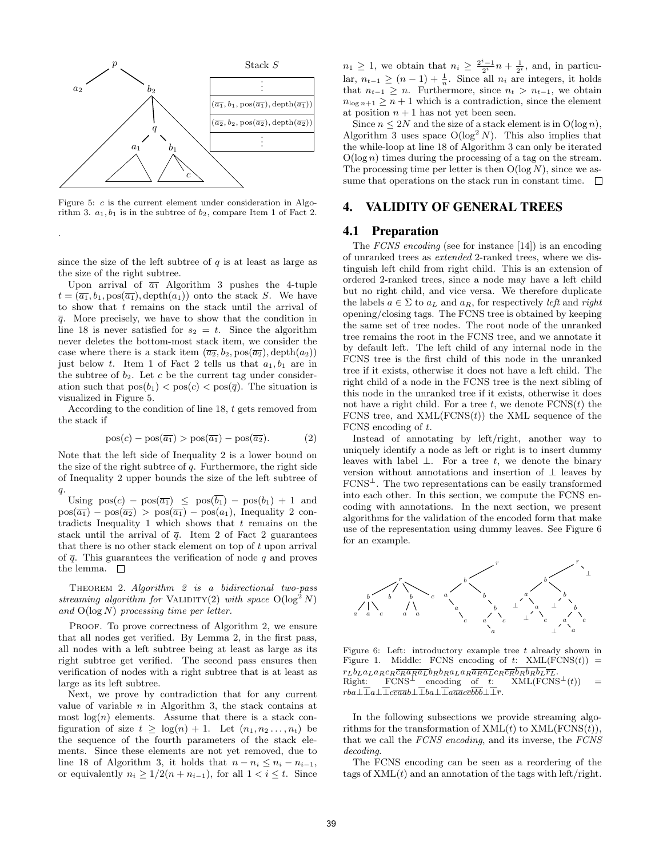

Figure 5: c is the current element under consideration in Algorithm 3.  $a_1, b_1$  is in the subtree of  $b_2$ , compare Item 1 of Fact 2.

.

since the size of the left subtree of  $q$  is at least as large as the size of the right subtree.

Upon arrival of  $\overline{a_1}$  Algorithm 3 pushes the 4-tuple  $t = (\overline{a_1}, b_1, \text{pos}(\overline{a_1}), \text{depth}(a_1))$  onto the stack S. We have to show that t remains on the stack until the arrival of  $\bar{q}$ . More precisely, we have to show that the condition in line 18 is never satisfied for  $s_2 = t$ . Since the algorithm never deletes the bottom-most stack item, we consider the case where there is a stack item  $(\overline{a_2}, b_2, \text{pos}(\overline{a_2}), \text{depth}(a_2))$ just below t. Item 1 of Fact 2 tells us that  $a_1, b_1$  are in the subtree of  $b_2$ . Let c be the current tag under consideration such that  $pos(b_1) < pos(c) < pos(\overline{q})$ . The situation is visualized in Figure 5.

According to the condition of line 18, t gets removed from the stack if

$$
pos(c) - pos(\overline{a_1}) > pos(\overline{a_1}) - pos(\overline{a_2}).
$$
\n(2)

Note that the left side of Inequality 2 is a lower bound on the size of the right subtree of  $q$ . Furthermore, the right side of Inequality 2 upper bounds the size of the left subtree of  $q$ .

Using  $pos(c) - pos(\overline{a_1}) \leq pos(\overline{b_1}) - pos(b_1) + 1$  and  $pos(\overline{a_1}) - pos(\overline{a_2}) > pos(\overline{a_1}) - pos(a_1)$ , Inequality 2 contradicts Inequality 1 which shows that  $t$  remains on the stack until the arrival of  $\bar{q}$ . Item 2 of Fact 2 guarantees that there is no other stack element on top of  $t$  upon arrival of  $\overline{q}$ . This guarantees the verification of node q and proves the lemma.  $\square$ 

THEOREM 2. Algorithm 2 is a bidirectional two-pass streaming algorithm for VALIDITY(2) with space  $O(\log^2 N)$ and  $O(\log N)$  processing time per letter.

PROOF. To prove correctness of Algorithm 2, we ensure that all nodes get verified. By Lemma 2, in the first pass, all nodes with a left subtree being at least as large as its right subtree get verified. The second pass ensures then verification of nodes with a right subtree that is at least as large as its left subtree.

Next, we prove by contradiction that for any current value of variable  $n$  in Algorithm 3, the stack contains at most  $log(n)$  elements. Assume that there is a stack configuration of size  $t \geq \log(n) + 1$ . Let  $(n_1, n_2, \ldots, n_t)$  be the sequence of the fourth parameters of the stack elements. Since these elements are not yet removed, due to line 18 of Algorithm 3, it holds that  $n - n_i \leq n_i - n_{i-1}$ , or equivalently  $n_i \geq 1/2(n + n_{i-1})$ , for all  $1 < i \leq t$ . Since

 $n_1 \geq 1$ , we obtain that  $n_i \geq \frac{2^i-1}{2^i}n + \frac{1}{2^i}$ , and, in particular,  $n_{t-1} \ge (n-1) + \frac{1}{n}$ . Since all  $n_i$  are integers, it holds that  $n_{t-1} \geq n$ . Furthermore, since  $n_t > n_{t-1}$ , we obtain  $n_{\log n+1} \geq n+1$  which is a contradiction, since the element at position  $n + 1$  has not yet been seen.

Since  $n \leq 2N$  and the size of a stack element is in  $O(\log n)$ , Algorithm 3 uses space  $O(\log^2 N)$ . This also implies that the while-loop at line 18 of Algorithm 3 can only be iterated  $O(\log n)$  times during the processing of a tag on the stream. The processing time per letter is then  $O(\log N)$ , since we assume that operations on the stack run in constant time.  $\Box$ 

# 4. VALIDITY OF GENERAL TREES

### 4.1 Preparation

The *FCNS* encoding (see for instance [14]) is an encoding of unranked trees as extended 2-ranked trees, where we distinguish left child from right child. This is an extension of ordered 2-ranked trees, since a node may have a left child but no right child, and vice versa. We therefore duplicate the labels  $a \in \Sigma$  to  $a_L$  and  $a_R$ , for respectively left and right opening/closing tags. The FCNS tree is obtained by keeping the same set of tree nodes. The root node of the unranked tree remains the root in the FCNS tree, and we annotate it by default left. The left child of any internal node in the FCNS tree is the first child of this node in the unranked tree if it exists, otherwise it does not have a left child. The right child of a node in the FCNS tree is the next sibling of this node in the unranked tree if it exists, otherwise it does not have a right child. For a tree  $t$ , we denote  $FCNS(t)$  the FCNS tree, and  $XML(FCNS(t))$  the XML sequence of the FCNS encoding of t.

Instead of annotating by left/right, another way to uniquely identify a node as left or right is to insert dummy leaves with label  $\perp$ . For a tree t, we denote the binary version without annotations and insertion of  $\perp$  leaves by  $FCNS<sup>\perp</sup>$ . The two representations can be easily transformed into each other. In this section, we compute the FCNS encoding with annotations. In the next section, we present algorithms for the validation of the encoded form that make use of the representation using dummy leaves. See Figure 6 for an example.



Figure 6: Left: introductory example tree  $t$  already shown in Figure 1. Middle: FCNS encoding of  $t$ : XML(FCNS( $t$ ))  $\begin{array}{lll} r_Lb_La_La_Rc_R\overline{c_Ra_Ra_L}b_Rb_Ra_La_R\overline{a_Ra_L}c_R\overline{c_R}b_Rb_Rb_L\overline{r_L}. \ \text{Right:} & \text{FCNS}^\perp & \text{encoding} & \text{of} & t: & \text{XML}(\text{FCNS}^\perp(t)) & = \end{array}$  $rba\bot\overline{\bot}a\bot\overline{\bot}c\overline{ca}\overline{ab}\bot\overline{\bot}ba\bot\overline{\bot}a\overline{a}\overline{a}c\overline{c}\overline{b}\overline{b}\overline{b}\bot\overline{\bot}\overline{r}.$ 

In the following subsections we provide streaming algorithms for the transformation of  $XML(t)$  to  $XML(FCNS(t)),$ that we call the FCNS encoding, and its inverse, the FCNS decoding.

The FCNS encoding can be seen as a reordering of the tags of  $XML(t)$  and an annotation of the tags with left/right.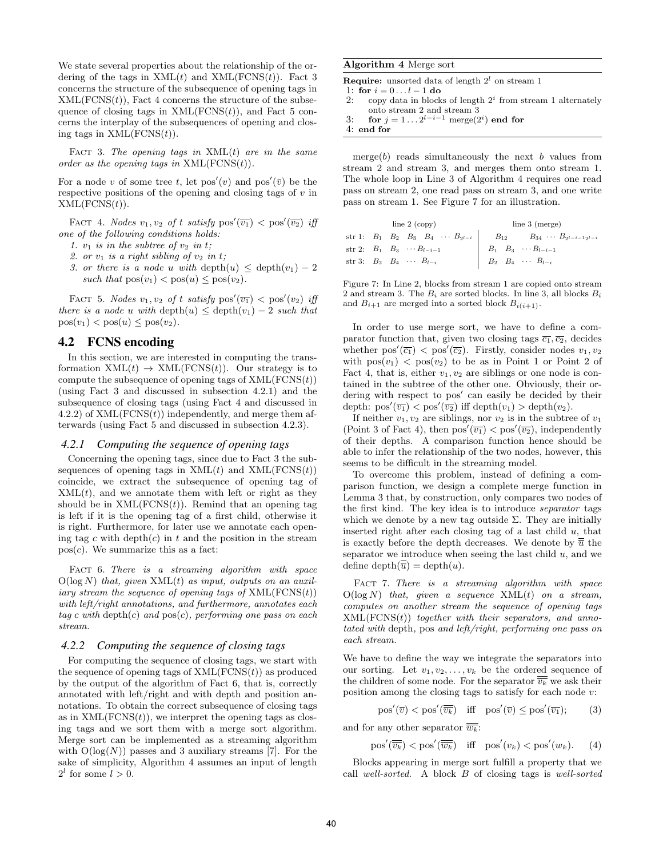We state several properties about the relationship of the ordering of the tags in  $XML(t)$  and  $XML(FCNS(t))$ . Fact 3 concerns the structure of the subsequence of opening tags in  $XML(FCNS(t))$ , Fact 4 concerns the structure of the subsequence of closing tags in  $XML(FCNS(t))$ , and Fact 5 concerns the interplay of the subsequences of opening and closing tags in  $XML(FCNS(t))$ .

FACT 3. The opening tags in  $XML(t)$  are in the same order as the opening tags in  $XML(FCNS(t))$ .

For a node v of some tree t, let  $pos'(v)$  and  $pos'(\bar{v})$  be the respective positions of the opening and closing tags of  $v$  in  $XML(FCNS(t)).$ 

FACT 4. Nodes  $v_1, v_2$  of t satisfy  $pos'(\overline{v_1}) < pos'(\overline{v_2})$  iff one of the following conditions holds:

1.  $v_1$  is in the subtree of  $v_2$  in t;

- 2. or  $v_1$  is a right sibling of  $v_2$  in t;
- 3. or there is a node u with depth $(u) \leq$  depth $(v_1) 2$ such that  $pos(v_1) < pos(u) \leq pos(v_2)$ .

FACT 5. Nodes  $v_1, v_2$  of t satisfy  $pos'(\overline{v_1}) < pos'(v_2)$  iff there is a node u with depth $(u) \leq$  depth $(v_1) - 2$  such that  $pos(v_1) < pos(u) \leq pos(v_2)$ .

# 4.2 FCNS encoding

In this section, we are interested in computing the transformation  $XML(t) \rightarrow XML(FCNS(t))$ . Our strategy is to compute the subsequence of opening tags of  $XML(FCNS(t))$ (using Fact 3 and discussed in subsection 4.2.1) and the subsequence of closing tags (using Fact 4 and discussed in 4.2.2) of  $XML(FCNS(t))$  independently, and merge them afterwards (using Fact 5 and discussed in subsection 4.2.3).

### *4.2.1 Computing the sequence of opening tags*

Concerning the opening tags, since due to Fact 3 the subsequences of opening tags in  $XML(t)$  and  $XML(FCNS(t))$ coincide, we extract the subsequence of opening tag of  $XML(t)$ , and we annotate them with left or right as they should be in  $XML(FCNS(t))$ . Remind that an opening tag is left if it is the opening tag of a first child, otherwise it is right. Furthermore, for later use we annotate each opening tag c with depth $(c)$  in t and the position in the stream  $pos(c)$ . We summarize this as a fact:

FACT 6. There is a streaming algorithm with space  $O(log N)$  that, given  $XML(t)$  as input, outputs on an auxiliary stream the sequence of opening tags of  $XML(FCNS(t))$ with left/right annotations, and furthermore, annotates each  $tag c \ with \ depth(c) \ and \ pos(c), \ performing \ one \ pass \ on \ each$ stream.

#### *4.2.2 Computing the sequence of closing tags*

For computing the sequence of closing tags, we start with the sequence of opening tags of  $XML(FCNS(t))$  as produced by the output of the algorithm of Fact 6, that is, correctly annotated with left/right and with depth and position annotations. To obtain the correct subsequence of closing tags as in  $XML(FCNS(t))$ , we interpret the opening tags as closing tags and we sort them with a merge sort algorithm. Merge sort can be implemented as a streaming algorithm with  $O(log(N))$  passes and 3 auxiliary streams [7]. For the sake of simplicity, Algorithm 4 assumes an input of length  $2^l$  for some  $l > 0$ .

#### Algorithm 4 Merge sort

**Require:** unsorted data of length  $2^l$  on stream 1

1: for  $i = 0...l - 1$  do<br>2: copy data in block

- 2: copy data in blocks of length  $2^i$  from stream 1 alternately onto stream 2 and stream 3
- 3: for  $j = 1 \ldots 2^{l-i-1}$  merge $(2^i)$  end for

```
4: end for
```
merge $(b)$  reads simultaneously the next b values from stream 2 and stream 3, and merges them onto stream 1. The whole loop in Line 3 of Algorithm 4 requires one read pass on stream 2, one read pass on stream 3, and one write pass on stream 1. See Figure 7 for an illustration.

|  | line $2$ (copy)                          | line $3$ (merge)                                                                                        |
|--|------------------------------------------|---------------------------------------------------------------------------------------------------------|
|  |                                          | str 1: $B_1$ $B_2$ $B_3$ $B_4$ $\cdots$ $B_{2^{l-i}}$ $B_{12}$ $B_{34}$ $\cdots$ $B_{2^{l-i-1}2^{l-i}}$ |
|  | str 2: $B_1$ $B_3$ $\cdots B_{l-i-1}$    | $B_1 \quad B_3 \quad \cdots B_{l-i-1}$                                                                  |
|  | str 3: $B_2 \t B_4 \t \cdots \t B_{l-i}$ | $B_2 \quad B_4 \quad \cdots \quad B_{l-i}$                                                              |

Figure 7: In Line 2, blocks from stream 1 are copied onto stream 2 and stream 3. The  $B_i$  are sorted blocks. In line 3, all blocks  $B_i$ and  $B_{i+1}$  are merged into a sorted block  $B_{i(i+1)}$ .

In order to use merge sort, we have to define a comparator function that, given two closing tags  $\overline{c_1}, \overline{c_2}$ , decides whether  $pos'(\overline{c_1}) < pos'(\overline{c_2})$ . Firstly, consider nodes  $v_1, v_2$ with  $pos(v_1) < pos(v_2)$  to be as in Point 1 or Point 2 of Fact 4, that is, either  $v_1, v_2$  are siblings or one node is contained in the subtree of the other one. Obviously, their ordering with respect to pos' can easily be decided by their depth:  $pos'(\overline{v_1}) < pos'(\overline{v_2})$  iff depth $(v_1) > depth(v_2)$ .

If neither  $v_1, v_2$  are siblings, nor  $v_2$  is in the subtree of  $v_1$ (Point 3 of Fact 4), then  $pos'(\overline{v_1}) < pos'(\overline{v_2})$ , independently of their depths. A comparison function hence should be able to infer the relationship of the two nodes, however, this seems to be difficult in the streaming model.

To overcome this problem, instead of defining a comparison function, we design a complete merge function in Lemma 3 that, by construction, only compares two nodes of the first kind. The key idea is to introduce separator tags which we denote by a new tag outside  $\Sigma$ . They are initially inserted right after each closing tag of a last child  $u$ , that is exactly before the depth decreases. We denote by  $\overline{\overline{u}}$  the separator we introduce when seeing the last child  $u$ , and we define depth $(\overline{\overline{u}}) =$ depth $(u)$ .

FACT 7. There is a streaming algorithm with space  $O(\log N)$  that, given a sequence  $XML(t)$  on a stream, computes on another stream the sequence of opening tags  $XML(FCNS(t))$  together with their separators, and annotated with depth, pos and left/right, performing one pass on each stream.

We have to define the way we integrate the separators into our sorting. Let  $v_1, v_2, \ldots, v_k$  be the ordered sequence of the children of some node. For the separator  $\overline{\overline{v_k}}$  we ask their position among the closing tags to satisfy for each node  $v$ :

$$
\text{pos}'(\overline{v}) < \text{pos}'(\overline{\overline{v_k}}) \quad \text{iff} \quad \text{pos}'(\overline{v}) \leq \text{pos}'(\overline{v_1});\tag{3}
$$

and for any other separator  $\overline{\overline{w_k}}$ :

 $pos'(\overline{\overline{v_k}}) < pos'(\overline{\overline{w_k}})$  iff  $pos'(v_k) < pos'(w_k)$ . (4)

Blocks appearing in merge sort fulfill a property that we call well-sorted. A block B of closing tags is well-sorted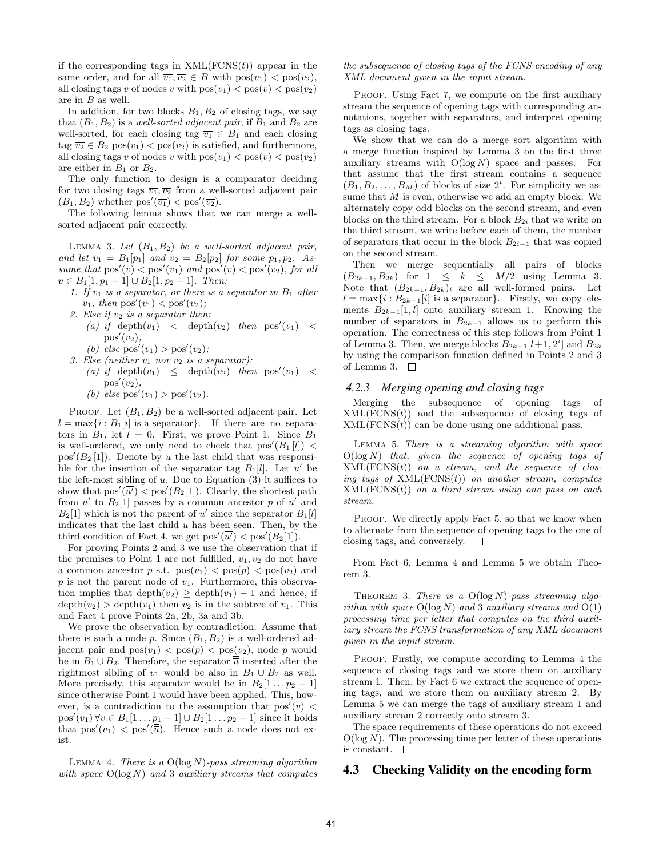if the corresponding tags in  $XML(FCNS(t))$  appear in the same order, and for all  $\overline{v_1}, \overline{v_2} \in B$  with  $pos(v_1) < pos(v_2)$ , all closing tags  $\overline{v}$  of nodes v with  $pos(v_1) < pos(v) < pos(v_2)$ are in B as well.

In addition, for two blocks  $B_1, B_2$  of closing tags, we say that  $(B_1, B_2)$  is a well-sorted adjacent pair, if  $B_1$  and  $B_2$  are well-sorted, for each closing tag  $\overline{v_1} \in B_1$  and each closing  $tag \overline{v_2} \in B_2 \text{ pos}(v_1) < \text{pos}(v_2)$  is satisfied, and furthermore, all closing tags  $\overline{v}$  of nodes v with  $pos(v_1) < pos(v) < pos(v_2)$ are either in  $B_1$  or  $B_2$ .

The only function to design is a comparator deciding for two closing tags  $\overline{v_1}, \overline{v_2}$  from a well-sorted adjacent pair  $(B_1, B_2)$  whether  $pos'(\overline{v_1}) < pos'(\overline{v_2})$ .

The following lemma shows that we can merge a wellsorted adjacent pair correctly.

LEMMA 3. Let  $(B_1, B_2)$  be a well-sorted adjacent pair, and let  $v_1 = B_1[p_1]$  and  $v_2 = B_2[p_2]$  for some  $p_1, p_2$ . Assume that  $pos'(v) < pos'(v_1)$  and  $pos'(v) < pos'(v_2)$ , for all  $v \in B_1[1, p_1-1] \cup B_2[1, p_2-1]$ . Then:

- 1. If  $v_1$  is a separator, or there is a separator in  $B_1$  after  $v_1$ , then  $pos'(v_1) < pos'(v_2)$ ;
- 2. Else if  $v_2$  is a separator then:
	- (a) if  $depth(v_1)$  <  $depth(v_2)$  then  $pos'(v_1)$  <  $pos'(v_2)$ ,
	- (b) else  $pos'(v_1) > pos'(v_2)$ ;
- 3. Else (neither  $v_1$  nor  $v_2$  is a separator): (a) if depth $(v_1) \le$  depth $(v_2)$  then pos' $(v_1)$  <  $pos'(v_2)$ ,
	- (b) else  $pos'(v_1) > pos'(v_2)$ .

PROOF. Let  $(B_1, B_2)$  be a well-sorted adjacent pair. Let  $l = \max\{i : B_1[i]$  is a separator}. If there are no separators in  $B_1$ , let  $l = 0$ . First, we prove Point 1. Since  $B_1$ is well-ordered, we only need to check that  $pos'(B_1[l])$  <  $pos'(B_2[1])$ . Denote by u the last child that was responsible for the insertion of the separator tag  $B_1[l]$ . Let u' be the left-most sibling of  $u$ . Due to Equation (3) it suffices to show that  $pos'(\overline{u'}) < pos'(B_2[1])$ . Clearly, the shortest path from  $u'$  to  $B_2[1]$  passes by a common ancestor p of  $u'$  and  $B_2[1]$  which is not the parent of u' since the separator  $B_1[l]$ indicates that the last child  $u$  has been seen. Then, by the third condition of Fact 4, we get  $pos'(\overline{u'}) < pos'(B_2[1])$ .

For proving Points 2 and 3 we use the observation that if the premises to Point 1 are not fulfilled,  $v_1, v_2$  do not have a common ancestor p s.t.  $pos(v_1) < pos(p) < pos(v_2)$  and  $p$  is not the parent node of  $v_1$ . Furthermore, this observation implies that depth $(v_2) \geq$  depth $(v_1) - 1$  and hence, if  $depth(v_2) > depth(v_1)$  then  $v_2$  is in the subtree of  $v_1$ . This and Fact 4 prove Points 2a, 2b, 3a and 3b.

We prove the observation by contradiction. Assume that there is such a node p. Since  $(B_1, B_2)$  is a well-ordered adjacent pair and  $pos(v_1) < pos(p) < pos(v_2)$ , node p would be in  $B_1 \cup B_2$ . Therefore, the separator  $\overline{\overline{u}}$  inserted after the rightmost sibling of  $v_1$  would be also in  $B_1 \cup B_2$  as well. More precisely, this separator would be in  $B_2[1 \tildots p_2-1]$ since otherwise Point 1 would have been applied. This, however, is a contradiction to the assumption that  $pos'(v)$  <  $pos'(v_1) \forall v \in B_1[1 \dots p_1 - 1] \cup B_2[1 \dots p_2 - 1]$  since it holds that  $pos'(v_1) < pos'(\overline{\overline{u}})$ . Hence such a node does not exist.

LEMMA 4. There is a  $O(log N)$ -pass streaming algorithm with space  $O(log N)$  and 3 auxiliary streams that computes

#### the subsequence of closing tags of the FCNS encoding of any XML document given in the input stream.

PROOF. Using Fact 7, we compute on the first auxiliary stream the sequence of opening tags with corresponding annotations, together with separators, and interpret opening tags as closing tags.

We show that we can do a merge sort algorithm with a merge function inspired by Lemma 3 on the first three auxiliary streams with  $O(\log N)$  space and passes. For that assume that the first stream contains a sequence  $(B_1, B_2, \ldots, B_M)$  of blocks of size  $2^i$ . For simplicity we assume that  $M$  is even, otherwise we add an empty block. We alternately copy odd blocks on the second stream, and even blocks on the third stream. For a block  $B_{2i}$  that we write on the third stream, we write before each of them, the number of separators that occur in the block  $B_{2i-1}$  that was copied on the second stream.

Then we merge sequentially all pairs of blocks  $(B_{2k-1}, B_{2k})$  for  $1 \leq k \leq M/2$  using Lemma 3. Note that  $(B_{2k-1}, B_{2k})_i$  are all well-formed pairs. Let  $l = \max\{i : B_{2k-1}[i]$  is a separator}. Firstly, we copy elements  $B_{2k-1}[1, l]$  onto auxiliary stream 1. Knowing the number of separators in  $B_{2k-1}$  allows us to perform this operation. The correctness of this step follows from Point 1 of Lemma 3. Then, we merge blocks  $B_{2k-1}[l+1, 2^i]$  and  $B_{2k}$ by using the comparison function defined in Points 2 and 3 of Lemma 3.  $\square$ 

#### *4.2.3 Merging opening and closing tags*

Merging the subsequence of opening tags of  $XML(FCNS(t))$  and the subsequence of closing tags of  $XML(FCNS(t))$  can be done using one additional pass.

Lemma 5. There is a streaming algorithm with space  $O(log N)$  that, given the sequence of opening tags of  $XML(FCNS(t))$  on a stream, and the sequence of closing tags of  $XML(FCNS(t))$  on another stream, computes  $XML(FCNS(t))$  on a third stream using one pass on each stream.

PROOF. We directly apply Fact 5, so that we know when to alternate from the sequence of opening tags to the one of closing tags, and conversely.  $\square$ 

From Fact 6, Lemma 4 and Lemma 5 we obtain Theorem 3.

THEOREM 3. There is a  $O(log N)$ -pass streaming algorithm with space  $O(log N)$  and 3 auxiliary streams and  $O(1)$ processing time per letter that computes on the third auxiliary stream the FCNS transformation of any XML document given in the input stream.

PROOF. Firstly, we compute according to Lemma 4 the sequence of closing tags and we store them on auxiliary stream 1. Then, by Fact 6 we extract the sequence of opening tags, and we store them on auxiliary stream 2. By Lemma 5 we can merge the tags of auxiliary stream 1 and auxiliary stream 2 correctly onto stream 3.

The space requirements of these operations do not exceed  $O(\log N)$ . The processing time per letter of these operations is constant.  $\square$ 

## 4.3 Checking Validity on the encoding form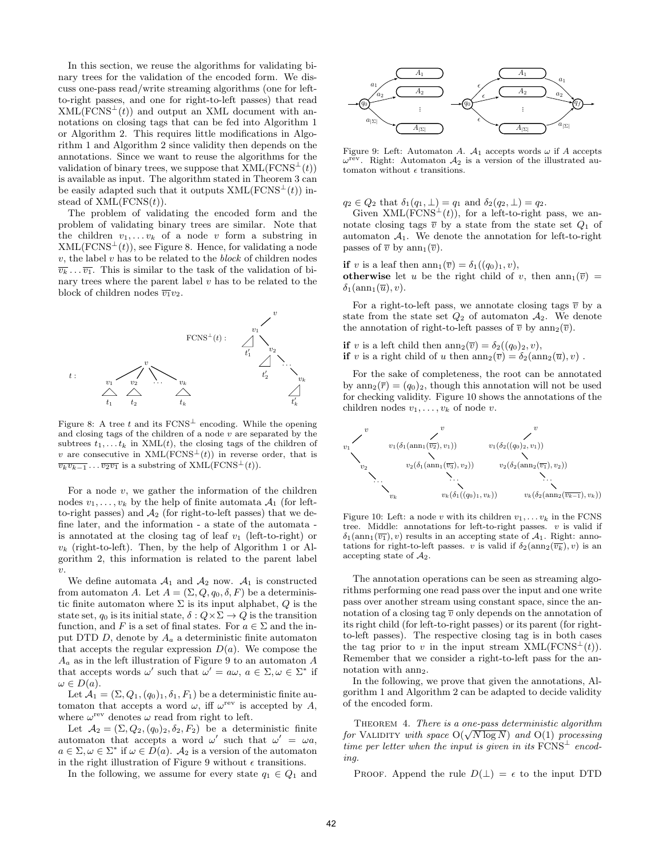In this section, we reuse the algorithms for validating binary trees for the validation of the encoded form. We discuss one-pass read/write streaming algorithms (one for leftto-right passes, and one for right-to-left passes) that read  $XML(FCNS<sup>⊥</sup>(t))$  and output an XML document with annotations on closing tags that can be fed into Algorithm 1 or Algorithm 2. This requires little modifications in Algorithm 1 and Algorithm 2 since validity then depends on the annotations. Since we want to reuse the algorithms for the validation of binary trees, we suppose that  $XML(FCNS<sup>⊥</sup>(t))$ is available as input. The algorithm stated in Theorem 3 can be easily adapted such that it outputs  $XML(FCNS<sup>⊥</sup>(t))$  instead of  $XML(FCNS(t))$ .

The problem of validating the encoded form and the problem of validating binary trees are similar. Note that the children  $v_1, \ldots v_k$  of a node v form a substring in  $XML(FCNS<sup>⊥</sup>(t))$ , see Figure 8. Hence, for validating a node  $v$ , the label  $v$  has to be related to the *block* of children nodes  $\overline{v_k} \dots \overline{v_1}$ . This is similar to the task of the validation of binary trees where the parent label  $v$  has to be related to the block of children nodes  $\overline{v_1}v_2$ .



Figure 8: A tree t and its  $FCNS^{\perp}$  encoding. While the opening and closing tags of the children of a node  $v$  are separated by the subtrees  $t_1, \ldots, t_k$  in XML(t), the closing tags of the children of v are consecutive in  $XML(FCNS<sup>\perp</sup>(t))$  in reverse order, that is  $\overline{v_kv_{k-1}} \dots \overline{v_2v_1}$  is a substring of XML(FCNS<sup>⊥</sup>(t)).

For a node  $v$ , we gather the information of the children nodes  $v_1, \ldots, v_k$  by the help of finite automata  $\mathcal{A}_1$  (for leftto-right passes) and  $A_2$  (for right-to-left passes) that we define later, and the information - a state of the automata is annotated at the closing tag of leaf  $v_1$  (left-to-right) or  $v_k$  (right-to-left). Then, by the help of Algorithm 1 or Algorithm 2, this information is related to the parent label  $\overline{v}$ .

We define automata  $A_1$  and  $A_2$  now.  $A_1$  is constructed from automaton A. Let  $A = (\Sigma, Q, q_0, \delta, F)$  be a deterministic finite automaton where  $\Sigma$  is its input alphabet,  $Q$  is the state set,  $q_0$  is its initial state,  $\delta: Q \times \Sigma \to Q$  is the transition function, and F is a set of final states. For  $a \in \Sigma$  and the input DTD  $D$ , denote by  $A_a$  a deterministic finite automaton that accepts the regular expression  $D(a)$ . We compose the  $A_a$  as in the left illustration of Figure 9 to an automaton A that accepts words  $\omega'$  such that  $\omega' = a\omega, a \in \Sigma, \omega \in \Sigma^*$  if  $\omega \in D(a).$ 

Let  $\mathcal{A}_1 = (\Sigma, Q_1, (q_0)_1, \delta_1, F_1)$  be a deterministic finite automaton that accepts a word  $\omega$ , iff  $\omega^{\text{rev}}$  is accepted by A, where  $\omega^{\text{rev}}$  denotes  $\omega$  read from right to left.

Let  $A_2 = (\Sigma, Q_2, (q_0)_2, \delta_2, F_2)$  be a deterministic finite automaton that accepts a word  $\omega'$  such that  $\omega' = \omega a$ ,  $a \in \Sigma, \omega \in \Sigma^*$  if  $\omega \in D(a)$ .  $\mathcal{A}_2$  is a version of the automaton in the right illustration of Figure 9 without  $\epsilon$  transitions.

In the following, we assume for every state  $q_1 \in Q_1$  and



Figure 9: Left: Automaton A.  $\mathcal{A}_1$  accepts words  $\omega$  if A accepts  $\omega^{\text{rev}}$ . Right: Automaton  $\mathcal{A}_2$  is a version of the illustrated automaton without  $\epsilon$  transitions.

 $q_2 \in Q_2$  that  $\delta_1(q_1, \perp) = q_1$  and  $\delta_2(q_2, \perp) = q_2$ .

Given  $XML(FCNS^{\perp}(t))$ , for a left-to-right pass, we annotate closing tags  $\overline{v}$  by a state from the state set  $Q_1$  of automaton  $A_1$ . We denote the annotation for left-to-right passes of  $\overline{v}$  by  $ann_1(\overline{v})$ .

if v is a leaf then  $ann_1(\overline{v}) = \delta_1((q_0)_1, v)$ , otherwise let u be the right child of v, then  $ann_1(\overline{v}) =$  $\delta_1(\operatorname{ann}_1(\overline{u}), v)$ .

For a right-to-left pass, we annotate closing tags  $\bar{v}$  by a state from the state set  $Q_2$  of automaton  $A_2$ . We denote the annotation of right-to-left passes of  $\overline{v}$  by  $ann_2(\overline{v})$ .

if v is a left child then  $ann_2(\overline{v}) = \delta_2((q_0)_2, v)$ , if v is a right child of u then  $ann_2(\overline{v}) = \delta_2(ann_2(\overline{u}), v)$ .

For the sake of completeness, the root can be annotated by  $ann_2(\overline{r}) = (q_0)_2$ , though this annotation will not be used for checking validity. Figure 10 shows the annotations of the children nodes  $v_1, \ldots, v_k$  of node v.



Figure 10: Left: a node v with its children  $v_1, \ldots v_k$  in the FCNS tree. Middle: annotations for left-to-right passes.  $v$  is valid if  $\delta_1(\text{ann}_1(\overline{v_1}), v)$  results in an accepting state of  $\mathcal{A}_1$ . Right: annotations for right-to-left passes. v is valid if  $\delta_2(\text{ann}_2(\overline{v_k}), v)$  is an accepting state of  $A_2$ .

The annotation operations can be seen as streaming algorithms performing one read pass over the input and one write pass over another stream using constant space, since the annotation of a closing tag  $\overline{v}$  only depends on the annotation of its right child (for left-to-right passes) or its parent (for rightto-left passes). The respective closing tag is in both cases the tag prior to v in the input stream  $XML(FCNS<sup>⊥</sup>(t)).$ Remember that we consider a right-to-left pass for the annotation with ann<sub>2</sub>.

In the following, we prove that given the annotations, Algorithm 1 and Algorithm 2 can be adapted to decide validity of the encoded form.

THEOREM 4. There is a one-pass deterministic algorithm **for VALIDITY** with space  $O(\sqrt{N} \log N)$  and  $O(1)$  processing time per letter when the input is given in its  $FCNS<sup>\perp</sup>$  encoding.

PROOF. Append the rule  $D(\perp) = \epsilon$  to the input DTD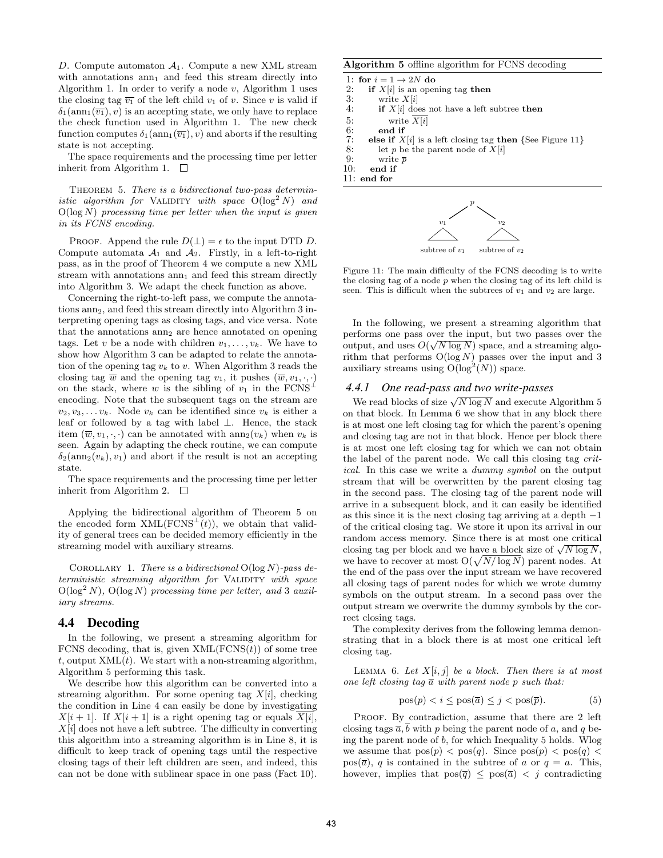D. Compute automaton  $A_1$ . Compute a new XML stream with annotations  $ann_1$  and feed this stream directly into Algorithm 1. In order to verify a node  $v$ , Algorithm 1 uses the closing tag  $\overline{v_1}$  of the left child  $v_1$  of v. Since v is valid if  $\delta_1(\text{ann}_1(\overline{v_1}), v)$  is an accepting state, we only have to replace the check function used in Algorithm 1. The new check function computes  $\delta_1(\text{ann}_1(\overline{v_1}), v)$  and aborts if the resulting state is not accepting.

The space requirements and the processing time per letter inherit from Algorithm 1.  $\square$ 

THEOREM 5. There is a bidirectional two-pass deterministic algorithm for VALIDITY with space  $O(log^2 N)$  and  $O(\log N)$  processing time per letter when the input is given in its FCNS encoding.

PROOF. Append the rule  $D(\perp) = \epsilon$  to the input DTD D. Compute automata  $A_1$  and  $A_2$ . Firstly, in a left-to-right pass, as in the proof of Theorem 4 we compute a new XML stream with annotations  $ann_1$  and feed this stream directly into Algorithm 3. We adapt the check function as above.

Concerning the right-to-left pass, we compute the annotations  $ann_2$ , and feed this stream directly into Algorithm 3 interpreting opening tags as closing tags, and vice versa. Note that the annotations  $ann_2$  are hence annotated on opening tags. Let v be a node with children  $v_1, \ldots, v_k$ . We have to show how Algorithm 3 can be adapted to relate the annotation of the opening tag  $v_k$  to v. When Algorithm 3 reads the closing tag  $\overline{w}$  and the opening tag  $v_1$ , it pushes  $(\overline{w}, v_1, \cdot, \cdot)$ on the stack, where w is the sibling of  $v_1$  in the FCNS<sup>⊥</sup> encoding. Note that the subsequent tags on the stream are  $v_2, v_3, \ldots v_k$ . Node  $v_k$  can be identified since  $v_k$  is either a leaf or followed by a tag with label ⊥. Hence, the stack item  $(\overline{w}, v_1, \cdot, \cdot)$  can be annotated with  $ann_2(v_k)$  when  $v_k$  is seen. Again by adapting the check routine, we can compute  $\delta_2(\text{ann}_2(v_k), v_1)$  and abort if the result is not an accepting state.

The space requirements and the processing time per letter inherit from Algorithm 2.  $\square$ 

Applying the bidirectional algorithm of Theorem 5 on the encoded form  $XML(FCNS^{\perp}(t))$ , we obtain that validity of general trees can be decided memory efficiently in the streaming model with auxiliary streams.

COROLLARY 1. There is a bidirectional  $O(log N)$ -pass deterministic streaming algorithm for VALIDITY with space  $O(\log^2 N)$ ,  $O(\log N)$  processing time per letter, and 3 auxiliary streams.

#### 4.4 Decoding

In the following, we present a streaming algorithm for FCNS decoding, that is, given  $XML(FCNS(t))$  of some tree t, output  $XML(t)$ . We start with a non-streaming algorithm, Algorithm 5 performing this task.

We describe how this algorithm can be converted into a streaming algorithm. For some opening tag  $X[i]$ , checking the condition in Line 4 can easily be done by investigating  $X[i+1]$ . If  $X[i+1]$  is a right opening tag or equals  $X[i]$ ,  $X[i]$  does not have a left subtree. The difficulty in converting this algorithm into a streaming algorithm is in Line 8, it is difficult to keep track of opening tags until the respective closing tags of their left children are seen, and indeed, this can not be done with sublinear space in one pass (Fact 10).

#### Algorithm 5 offline algorithm for FCNS decoding

1: for  $i = 1 \rightarrow 2N$  do<br>2: if  $X[i]$  is an open

- 2: if  $X[i]$  is an opening tag then<br>3: write  $X[i]$
- 3: write  $X[i]$ <br>4: **if**  $X[i]$  doe
- if  $X[i]$  does not have a left subtree then
- 
- 5: write  $\overline{X[i]}$ <br>6: end if 6: end if<br>7: else if  $X$
- 7: **else if**  $X[i]$  is a left closing tag **then** {See Figure 11}<br>8: let *n* be the parent node of  $X[i]$
- 8: let p be the parent node of  $X[i]$ <br>9: write  $\bar{p}$
- 9: write  $\bar{p}$ <br>10: **end if**
- end if

11: end for



Figure 11: The main difficulty of the FCNS decoding is to write the closing tag of a node  $p$  when the closing tag of its left child is seen. This is difficult when the subtrees of  $v_1$  and  $v_2$  are large.

In the following, we present a streaming algorithm that performs one pass over the input, but two passes over the output, and uses  $O(\sqrt{N \log N})$  space, and a streaming algorithm that performs  $O(log N)$  passes over the input and 3 auxiliary streams using  $O(log<sup>2</sup>(N))$  space.

#### *4.4.1 One read-pass and two write-passes*

We read blocks of size  $\sqrt{N \log N}$  and execute Algorithm 5 on that block. In Lemma 6 we show that in any block there is at most one left closing tag for which the parent's opening and closing tag are not in that block. Hence per block there is at most one left closing tag for which we can not obtain the label of the parent node. We call this closing tag critical. In this case we write a dummy symbol on the output stream that will be overwritten by the parent closing tag in the second pass. The closing tag of the parent node will arrive in a subsequent block, and it can easily be identified as this since it is the next closing tag arriving at a depth −1 of the critical closing tag. We store it upon its arrival in our random access memory. Since there is at most one critical random access memory. Since there is at most one critical<br>closing tag per block and we have a block size of  $\sqrt{N \log N}$ , we have to recover at most  $O(\sqrt{N/\log N})$  parent nodes. At the end of the pass over the input stream we have recovered all closing tags of parent nodes for which we wrote dummy symbols on the output stream. In a second pass over the output stream we overwrite the dummy symbols by the correct closing tags.

The complexity derives from the following lemma demonstrating that in a block there is at most one critical left closing tag.

LEMMA 6. Let  $X[i, j]$  be a block. Then there is at most one left closing tag  $\overline{a}$  with parent node p such that:

$$
pos(p) < i \le pos(\overline{a}) \le j < pos(\overline{p}).\tag{5}
$$

PROOF. By contradiction, assume that there are 2 left closing tags  $\overline{a}$ , b with p being the parent node of a, and q being the parent node of b, for which Inequality 5 holds. Wlog we assume that  $pos(p) < pos(q)$ . Since  $pos(p) < pos(q)$  $pos(\overline{a})$ , q is contained in the subtree of a or  $q = a$ . This, however, implies that  $pos(\overline{q}) \leq pos(\overline{a}) < j$  contradicting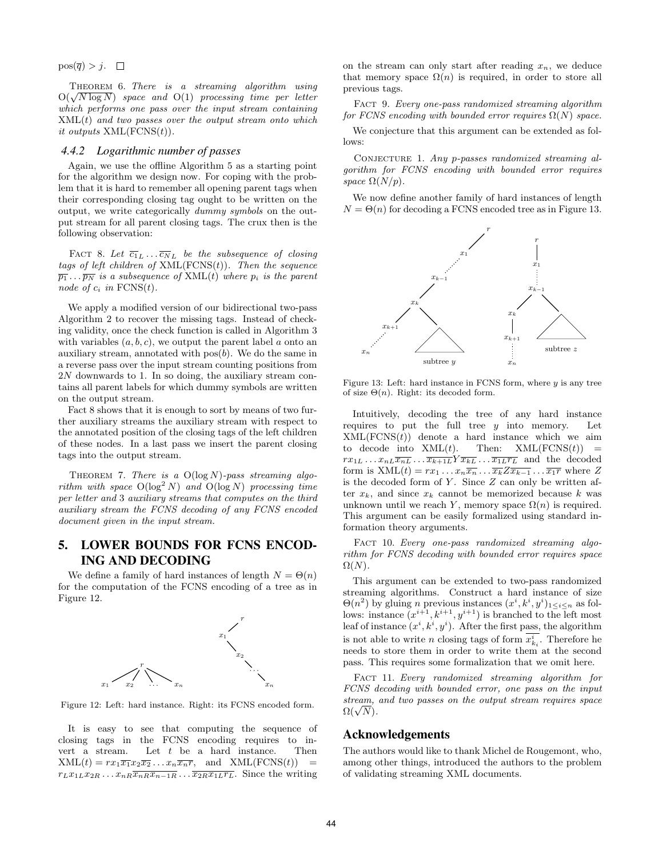$pos(\overline{q}) > j. \square$ 

THEOREM 6. There is a streaming algorithm using **THEOREM 6.** There is a streaming algorithm using  $O(\sqrt{N} \log N)$  space and  $O(1)$  processing time per letter which performs one pass over the input stream containing  $XML(t)$  and two passes over the output stream onto which it outputs XML(FCNS(t)).

#### *4.4.2 Logarithmic number of passes*

Again, we use the offline Algorithm 5 as a starting point for the algorithm we design now. For coping with the problem that it is hard to remember all opening parent tags when their corresponding closing tag ought to be written on the output, we write categorically dummy symbols on the output stream for all parent closing tags. The crux then is the following observation:

FACT 8. Let  $\overline{c_1}_L \ldots \overline{c_N}_L$  be the subsequence of closing tags of left children of  $XML(FCNS(t))$ . Then the sequence  $\overline{p_1} \ldots \overline{p_N}$  is a subsequence of  $XML(t)$  where  $p_i$  is the parent node of  $c_i$  in  $FCNS(t)$ .

We apply a modified version of our bidirectional two-pass Algorithm 2 to recover the missing tags. Instead of checking validity, once the check function is called in Algorithm 3 with variables  $(a, b, c)$ , we output the parent label a onto an auxiliary stream, annotated with  $pos(b)$ . We do the same in a reverse pass over the input stream counting positions from 2N downwards to 1. In so doing, the auxiliary stream contains all parent labels for which dummy symbols are written on the output stream.

Fact 8 shows that it is enough to sort by means of two further auxiliary streams the auxiliary stream with respect to the annotated position of the closing tags of the left children of these nodes. In a last pass we insert the parent closing tags into the output stream.

THEOREM 7. There is a  $O(log N)$ -pass streaming algorithm with space  $O(log^2 N)$  and  $O(log N)$  processing time per letter and 3 auxiliary streams that computes on the third auxiliary stream the FCNS decoding of any FCNS encoded document given in the input stream.

# 5. LOWER BOUNDS FOR FCNS ENCOD-ING AND DECODING

We define a family of hard instances of length  $N = \Theta(n)$ for the computation of the FCNS encoding of a tree as in Figure 12.



Figure 12: Left: hard instance. Right: its FCNS encoded form.

It is easy to see that computing the sequence of closing tags in the FCNS encoding requires to invert a stream. Let  $t$  be a hard instance. Then  $XML(t) = rx_1\overline{x_1}x_2\overline{x_2}...x_n\overline{x_n}r$ , and  $XML(FCNS(t))$  =  $r_L x_{1L} x_{2R} \dots x_{nR} \overline{x_{nR} x_{n-1R}} \dots \overline{x_{2R} x_{1L} r_L}$ . Since the writing on the stream can only start after reading  $x_n$ , we deduce that memory space  $\Omega(n)$  is required, in order to store all previous tags.

FACT 9. Every one-pass randomized streaming algorithm for FCNS encoding with bounded error requires  $\Omega(N)$  space.

We conjecture that this argument can be extended as follows:

CONJECTURE 1. Any p-passes randomized streaming algorithm for FCNS encoding with bounded error requires space  $\Omega(N/p)$ .

We now define another family of hard instances of length  $N = \Theta(n)$  for decoding a FCNS encoded tree as in Figure 13.



Figure 13: Left: hard instance in FCNS form, where  $y$  is any tree of size  $\Theta(n)$ . Right: its decoded form.

Intuitively, decoding the tree of any hard instance requires to put the full tree  $y$  into memory. Let  $XML(FCNS(t))$  denote a hard instance which we aim to decode into  $XML(t)$ . Then:  $XML(FCNS(t))$  =  $rx_{1L} \ldots x_{nL} \overline{x_{nL}} \ldots \overline{x_{k+1L}} Y \overline{x_{kL}} \ldots \overline{x_{1L} r_L}$  and the decoded form is  $XML(t) = rx_1 \ldots x_n \overline{x_n} \ldots \overline{x_k} \overline{z_{k-1}} \ldots \overline{x_1} \overline{r}$  where  $Z$ is the decoded form of  $Y$ . Since  $Z$  can only be written after  $x_k$ , and since  $x_k$  cannot be memorized because k was unknown until we reach Y, memory space  $\Omega(n)$  is required. This argument can be easily formalized using standard information theory arguments.

FACT 10. Every one-pass randomized streaming algorithm for FCNS decoding with bounded error requires space  $\Omega(N).$ 

This argument can be extended to two-pass randomized streaming algorithms. Construct a hard instance of size  $\Theta(n^2)$  by gluing *n* previous instances  $(x^i, k^i, y^i)_{1 \leq i \leq n}$  as follows: instance  $(x^{i+1}, k^{i+1}, y^{i+1})$  is branched to the left most leaf of instance  $(x^i, k^i, y^i)$ . After the first pass, the algorithm is not able to write *n* closing tags of form  $x_{k_i}^i$ . Therefore he needs to store them in order to write them at the second pass. This requires some formalization that we omit here.

FACT 11. Every randomized streaming algorithm for FCNS decoding with bounded error, one pass on the input stream, and two passes on the output stream requires space stream,<br> $\Omega(\sqrt{N}).$ 

### Acknowledgements

The authors would like to thank Michel de Rougemont, who, among other things, introduced the authors to the problem of validating streaming XML documents.